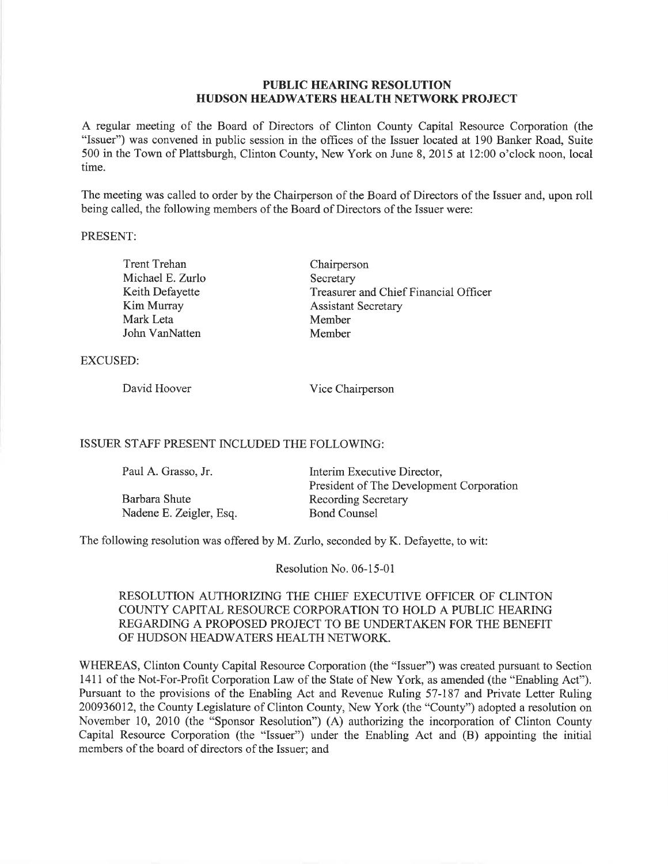### PUBLIC HEARING RESOLUTION HUDSON HEADWATERS HEALTH NETWORK PROJECT

A regular meeting of the Board of Directors of Clinton County Capital Resource Corporation (the "Issuer") was convened in public session in the offices of the Issuer located at 190 Banker Road, Suite 500 in the Town of Plattsburgh, Clinton County, New York on June 8, 2015 at 12:00 o'clock noon, local time.

The meeting was called to order by the Chairperson of the Board of Directors of the Issuer and, upon roll being called, the following members of the Board of Directors of the Issuer were:

#### PRESENT:

| <b>Trent Trehan</b> | Chairperson                           |
|---------------------|---------------------------------------|
| Michael E. Zurlo    | Secretary                             |
| Keith Defayette     | Treasurer and Chief Financial Officer |
| Kim Murray          | <b>Assistant Secretary</b>            |
| Mark Leta           | Member                                |
| John VanNatten      | Member                                |

EXCUSED:

David Hoover Vice Chairperson

#### ISSUER STAFF PRESENT INCLUDED THE FOLLOWING:

| Paul A. Grasso, Jr.     | Interim Executive Director,<br>President of The Development Corporation |
|-------------------------|-------------------------------------------------------------------------|
| Barbara Shute           | <b>Recording Secretary</b>                                              |
| Nadene E. Zeigler, Esq. | <b>Bond Counsel</b>                                                     |

The following resolution was offered by M. Zurlo, seconded by K. Defayette, to wit:

Resolution No. 06-15-01

# RESOLUTION AUTHORIZING THE CHIEF EXECUTIVE OFFICER OF CLINTON COUNTY CAPITAL RESOURCE CORPORATION TO HOLD A PUBLIC HEARING REGARDING A PROPOSED PROJECT TO BE UNDERTAKEN FOR THE BENEFIT OF HUDSON HEADWATERS HEALTH NETWORK.

WHEREAS, Clinton County Capital Resource Corporation (the "Issuer") was created pursuant to Section 1411 of the Not-For-Profit Corporation Law of the State of New York, as amended (the "Enabling Act"). Pursuant to the provisions of the Enabling Act and Revenue Ruling 57-187 and Private Letter Ruling 200936012, the County Legislature of Clinton County, New York (the "County") adopted a resolution on November 10, 2010 (the "Sponsor Resolution") (A) authorizing the incorporation of Clinton County Capital Resource Corporation (the "Issuer") under the Enabling Act and (B) appointing the initial members of the board of directors of the Issuer; and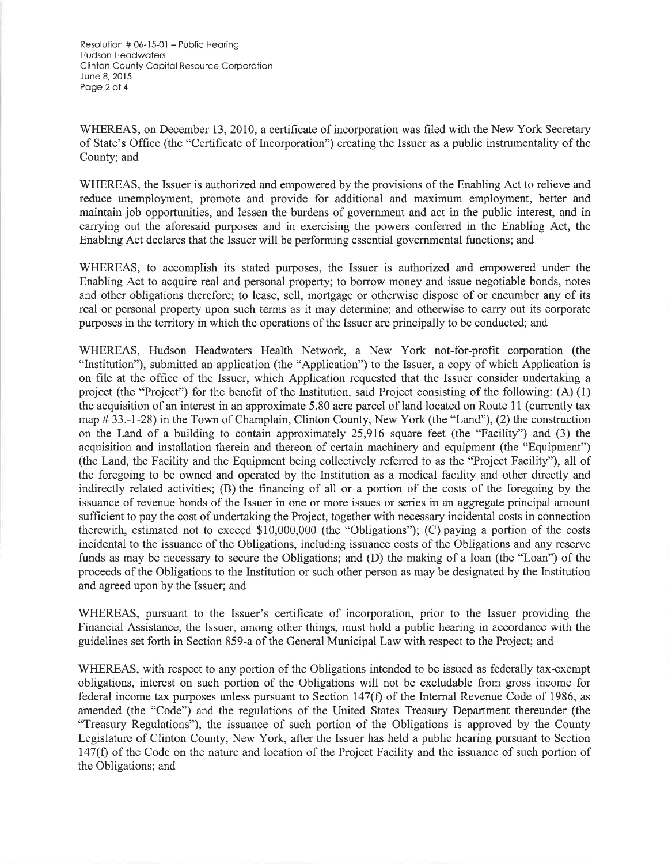Resolution  $# 06-15-01 -$  Public Hearing Hudson Heodwoters Clinton Counly Copifol Resource Corporolion June 8,2015 Page 2 of 4

WHEREAS, on December 13,2010, a certificate of incorporation was filed with the New York Secretary of State's Office (the "Certificate of Incorporation") creating the Issuer as a public instrumentality of the County; and

WHEREAS, the Issuer is authorized and empowered by the provisions of the Enabling Act to relieve and reduce unemployment, promote and provide for additional and maximum employment, better and maintain job opportunities, and lessen the burdens of government and act in the public interest, and in carrying out the aforesaid purposes and in exercising the powers conferred in the Enabling Act, the Enabling Act declares that the Issuer will be performing essential governmental functions; and

WHEREAS, to accomplish its stated purposes, the Issuer is authorized and empowered under the Enabling Act to acquire real and personal property; to borrow money and issue negotiable bonds, notes and other obligations therefore; to lease, sell, mortgage or otherwise dispose of or encumber any of its real or personal property upon such terms as it may determine; and otherwise to carry out its corporate purposes in the territory in which the operations of the Issuer are principally to be conducted; and

WHEREAS, Hudson Headwaters Health Network, a New York not-for-profit corporation (the "Institution"), submitted an application (the "Application") to the Issuer, a copy of which Application is on file at the office of the Issuer, which Application requested that the Issuer consider undertaking a project (the "Project") for the benefit of the Institution, said Project consisting of the following: (A) (1) the acquisition of an interest in an approximate 5.80 acre parcel of land located on Route 11 (currently tax map # 33.-1-28) in the Town of Champlain, Clinton County, New York (the "Land"), (2) the construction on the Land of a building to contain approximately 25,916 square feet (the "Facility") and (3) the acquisition and installation therein and thereon of certain machinery and equipment (the "Equipment") (the Land, the Facility and the Equipment being collectively referred to as the "Project Facility"), all of the foregoing to be owned and operated by the Institution as a medical facility and other directly and indirectly related activities; (B) the financing of all or a portion of the costs of the foregoing by the issuance of revenue bonds of the Issuer in one or more issues or series in an aggregate principal amount sufficient to pay the cost of undertaking the Project, together with necessary incidental costs in connection therewith, estimated not to exceed 510,000,000 (the "Obligations"); (C) paying a portion of the costs incidental to the issuance of the Obligations, including issuance costs of the Obligations and any reserve funds as may be necessary to secure the Obligations; and (D) the making of a loan (the "Loan") of the proceeds of the Obligations to the Institution or such other person as may be designated by the Institution and agreed upon by the Issuer; and

WHEREAS, pursuant to the Issuer's certificate of incorporation, prior to the Issuer providing the Financial Assistance, the Issuer, among other things, must hold a public hearing in accordance with the guidelines set forth in Section 859-a of the General Municipal Law with respect to the Project; and

WHEREAS, with respect to any portion of the Obligations intended to be issued as federally tax-exempt obligations, interest on such portion of the Obligations will not be excludable from gross income for federal income tax purposes unless pursuant to Section 147(Ð of the lnternal Revenue Code of 1986, as amended (the "Code") and the regulations of the United States Treasury Department thereunder (the "Treasury Regulations"), the issuance of such portion of the Obligations is approved by the County Legislature of Clinton County, New York, after the Issuer has held a public hearing pursuant to Section 147(Ð of the Code on the nature and location of the Project Facility and the issuance of such portion of the Obligations; and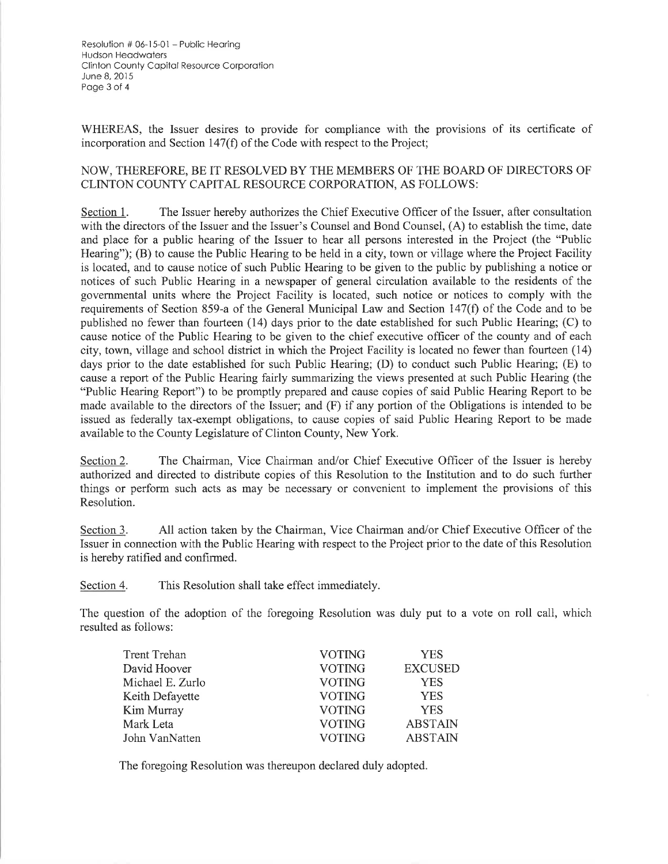Resolution # 06-15-01 - Public Hearing **Hudson Headwaters** Clinton County Capital Resource Corporation June 8, 2015 Page 3 of 4

WHEREAS, the Issuer desires to provide for compliance with the provisions of its certificate of incorporation and Section 147(f) of the Code with respect to the Project;

## NOW. THEREFORE. BE IT RESOLVED BY THE MEMBERS OF THE BOARD OF DIRECTORS OF CLINTON COUNTY CAPITAL RESOURCE CORPORATION, AS FOLLOWS:

The Issuer hereby authorizes the Chief Executive Officer of the Issuer, after consultation Section 1. with the directors of the Issuer and the Issuer's Counsel and Bond Counsel, (A) to establish the time, date and place for a public hearing of the Issuer to hear all persons interested in the Project (the "Public Hearing"); (B) to cause the Public Hearing to be held in a city, town or village where the Project Facility is located, and to cause notice of such Public Hearing to be given to the public by publishing a notice or notices of such Public Hearing in a newspaper of general circulation available to the residents of the governmental units where the Project Facility is located, such notice or notices to comply with the requirements of Section 859-a of the General Municipal Law and Section 147(f) of the Code and to be published no fewer than fourteen (14) days prior to the date established for such Public Hearing; (C) to cause notice of the Public Hearing to be given to the chief executive officer of the county and of each city, town, village and school district in which the Project Facility is located no fewer than fourteen (14) days prior to the date established for such Public Hearing; (D) to conduct such Public Hearing; (E) to cause a report of the Public Hearing fairly summarizing the views presented at such Public Hearing (the "Public Hearing Report") to be promptly prepared and cause copies of said Public Hearing Report to be made available to the directors of the Issuer; and (F) if any portion of the Obligations is intended to be issued as federally tax-exempt obligations, to cause copies of said Public Hearing Report to be made available to the County Legislature of Clinton County, New York.

Section 2. The Chairman, Vice Chairman and/or Chief Executive Officer of the Issuer is hereby authorized and directed to distribute copies of this Resolution to the Institution and to do such further things or perform such acts as may be necessary or convenient to implement the provisions of this Resolution.

All action taken by the Chairman, Vice Chairman and/or Chief Executive Officer of the Section 3. Issuer in connection with the Public Hearing with respect to the Project prior to the date of this Resolution is hereby ratified and confirmed.

Section 4. This Resolution shall take effect immediately.

The question of the adoption of the foregoing Resolution was duly put to a vote on roll call, which resulted as follows:

| Trent Trehan     | <b>VOTING</b> | <b>YES</b>     |
|------------------|---------------|----------------|
| David Hoover     | <b>VOTING</b> | <b>EXCUSED</b> |
| Michael E. Zurlo | <b>VOTING</b> | <b>YES</b>     |
| Keith Defayette  | <b>VOTING</b> | <b>YES</b>     |
| Kim Murray       | <b>VOTING</b> | <b>YES</b>     |
| Mark Leta        | <b>VOTING</b> | <b>ABSTAIN</b> |
| John VanNatten   | <b>VOTING</b> | <b>ABSTAIN</b> |
|                  |               |                |

The foregoing Resolution was thereupon declared duly adopted.